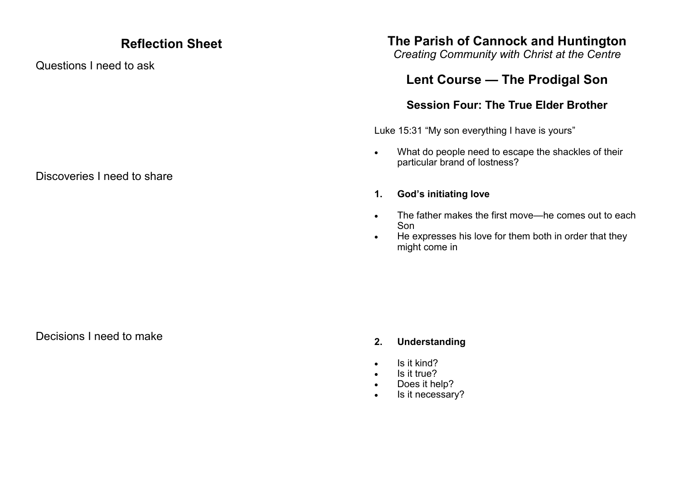# **Reflection Sheet**

Questions I need to ask

Discoveries I need to share

**The Parish of Cannock and Huntington**

*Creating Community with Christ at the Centre*

# **Lent Course — The Prodigal Son**

# **Session Four: The True Elder Brother**

Luke 15:31 "My son everything I have is yours"

• What do people need to escape the shackles of their particular brand of lostness?

## **1. God's initiating love**

- The father makes the first move—he comes out to each Son
- He expresses his love for them both in order that they might come in

Decisions I need to make

### **2. Understanding**

- $\cdot$  Is it kind?
- $\cdot$  Is it true?
- Does it help?
- Is it necessary?